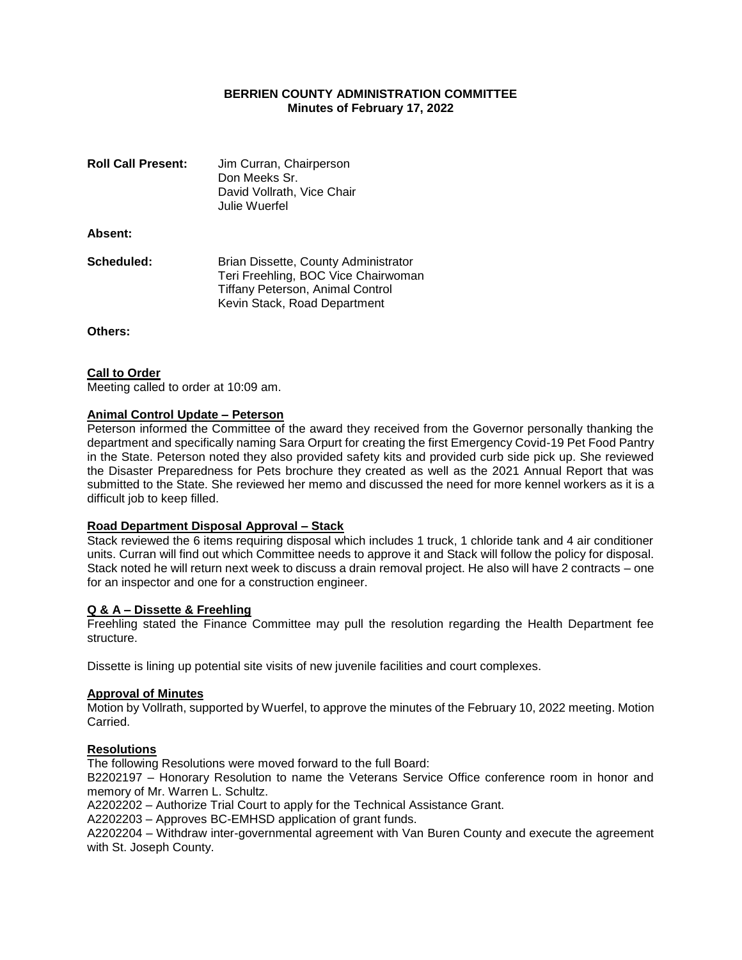# **BERRIEN COUNTY ADMINISTRATION COMMITTEE Minutes of February 17, 2022**

| <b>Roll Call Present:</b> | Jim Curran, Chairperson<br>Don Meeks Sr.<br>David Vollrath, Vice Chair<br>Julie Wuerfel                                                         |
|---------------------------|-------------------------------------------------------------------------------------------------------------------------------------------------|
| Absent:                   |                                                                                                                                                 |
| Scheduled:                | Brian Dissette, County Administrator<br>Teri Freehling, BOC Vice Chairwoman<br>Tiffany Peterson, Animal Control<br>Kevin Stack, Road Department |

**Others:**

## **Call to Order**

Meeting called to order at 10:09 am.

#### **Animal Control Update – Peterson**

Peterson informed the Committee of the award they received from the Governor personally thanking the department and specifically naming Sara Orpurt for creating the first Emergency Covid-19 Pet Food Pantry in the State. Peterson noted they also provided safety kits and provided curb side pick up. She reviewed the Disaster Preparedness for Pets brochure they created as well as the 2021 Annual Report that was submitted to the State. She reviewed her memo and discussed the need for more kennel workers as it is a difficult job to keep filled.

## **Road Department Disposal Approval – Stack**

Stack reviewed the 6 items requiring disposal which includes 1 truck, 1 chloride tank and 4 air conditioner units. Curran will find out which Committee needs to approve it and Stack will follow the policy for disposal. Stack noted he will return next week to discuss a drain removal project. He also will have 2 contracts – one for an inspector and one for a construction engineer.

## **Q & A – Dissette & Freehling**

Freehling stated the Finance Committee may pull the resolution regarding the Health Department fee structure.

Dissette is lining up potential site visits of new juvenile facilities and court complexes.

#### **Approval of Minutes**

Motion by Vollrath, supported by Wuerfel, to approve the minutes of the February 10, 2022 meeting. Motion Carried.

## **Resolutions**

The following Resolutions were moved forward to the full Board:

B2202197 – Honorary Resolution to name the Veterans Service Office conference room in honor and memory of Mr. Warren L. Schultz.

A2202202 – Authorize Trial Court to apply for the Technical Assistance Grant.

A2202203 – Approves BC-EMHSD application of grant funds.

A2202204 – Withdraw inter-governmental agreement with Van Buren County and execute the agreement with St. Joseph County.